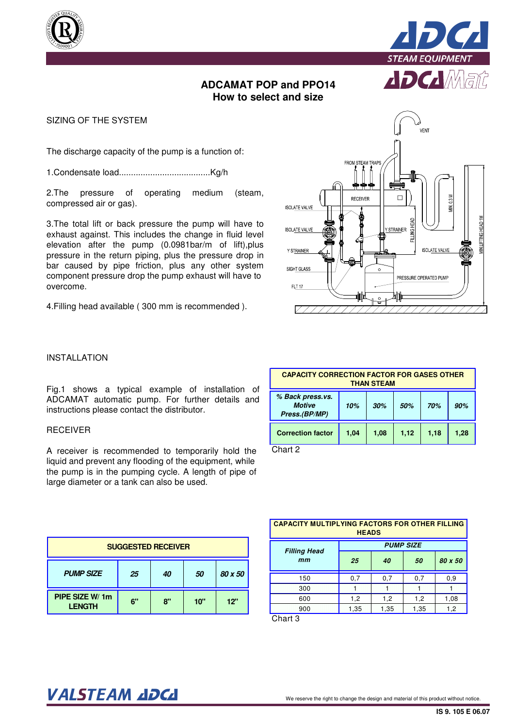



# **ADCAMAT POP and PPO14 How to select and size**

SIZING OF THE SYSTEM

The discharge capacity of the pump is a function of:

1.Condensate load......................................Kg/h

2.The pressure of operating medium (steam, compressed air or gas).

3.The total lift or back pressure the pump will have to exhaust against. This includes the change in fluid level elevation after the pump (0.0981bar/m of lift),plus pressure in the return piping, plus the pressure drop in bar caused by pipe friction, plus any other system component pressure drop the pump exhaust will have to overcome.

4.Filling head available ( 300 mm is recommended ).



## INSTALLATION

Fig.1 shows a typical example of installation of ADCAMAT automatic pump. For further details and instructions please contact the distributor.

### RECEIVER

A receiver is recommended to temporarily hold the liquid and prevent any flooding of the equipment, while the pump is in the pumping cycle. A length of pipe of large diameter or a tank can also be used.

| <b>SUGGESTED RECEIVER</b>        |    |    |     |         |
|----------------------------------|----|----|-----|---------|
| <b>PUMP SIZE</b>                 | 25 | 40 | 50  | 80 x 50 |
| PIPE SIZE W/ 1m<br><b>LENGTH</b> | 6" | 8" | 10" | 12"     |

| <b>CAPACITY CORRECTION FACTOR FOR GASES OTHER</b><br><b>THAN STEAM</b> |      |      |      |      |      |
|------------------------------------------------------------------------|------|------|------|------|------|
| % Back press.vs.<br><b>Motive</b><br>Press.(BP/MP)                     | 10%  | 30%  | 50%  | 70%  | 90%  |
| <b>Correction factor</b>                                               | 1,04 | 1,08 | 1,12 | 1,18 | 1,28 |

Chart 2

| <b>CAPACITY MULTIPLYING FACTORS FOR OTHER FILLING</b><br><b>HEADS</b> |                  |      |      |         |  |
|-----------------------------------------------------------------------|------------------|------|------|---------|--|
|                                                                       | <b>PUMP SIZE</b> |      |      |         |  |
| <b>Filling Head</b><br>mm                                             | 25               | 40   | 50   | 80 x 50 |  |
| 150                                                                   | 0,7              | 0,7  | 0,7  | 0,9     |  |
| 300                                                                   | 1                | ٦    | đ    |         |  |
| 600                                                                   | 1,2              | 1,2  | 1,2  | 1,08    |  |
| 900<br>$\bigcap_{i=1}^{n}$                                            | 1,35             | 1,35 | 1,35 | 1,2     |  |

Chart 3

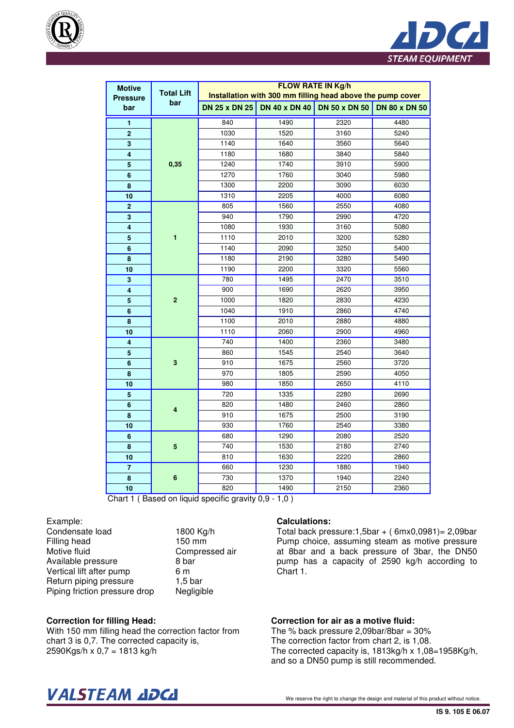



| <b>Motive</b>                 | <b>Total Lift</b>    | <b>FLOW RATE IN Kg/h</b><br>Installation with 300 mm filling head above the pump cover |                             |                      |      |  |
|-------------------------------|----------------------|----------------------------------------------------------------------------------------|-----------------------------|----------------------|------|--|
| <b>Pressure</b><br>bar<br>bar | <b>DN 25 x DN 25</b> |                                                                                        | DN 40 x DN 40 DN 50 x DN 50 | <b>DN 80 x DN 50</b> |      |  |
| 1                             |                      | 840                                                                                    | 1490                        | 2320                 | 4480 |  |
| $\overline{2}$                | 0,35                 | 1030                                                                                   | 1520                        | 3160                 | 5240 |  |
| $\overline{\mathbf{3}}$       |                      | 1140                                                                                   | 1640                        | 3560                 | 5640 |  |
| $\overline{\mathbf{4}}$       |                      | 1180                                                                                   | 1680                        | 3840                 | 5840 |  |
| 5                             |                      | 1240                                                                                   | 1740                        | 3910                 | 5900 |  |
| 6                             |                      | 1270                                                                                   | 1760                        | 3040                 | 5980 |  |
| 8                             |                      | 1300                                                                                   | 2200                        | 3090                 | 6030 |  |
| 10                            |                      | 1310                                                                                   | 2205                        | 4000                 | 6080 |  |
| $\overline{\mathbf{c}}$       |                      | 805                                                                                    | 1560                        | 2550                 | 4080 |  |
| $\overline{\mathbf{3}}$       |                      | 940                                                                                    | 1790                        | 2990                 | 4720 |  |
| $\overline{\mathbf{4}}$       |                      | 1080                                                                                   | 1930                        | 3160                 | 5080 |  |
| 5                             | $\overline{1}$       | 1110                                                                                   | 2010                        | 3200                 | 5280 |  |
| $6\phantom{1}6$               |                      | 1140                                                                                   | 2090                        | 3250                 | 5400 |  |
| 8                             |                      | 1180                                                                                   | 2190                        | 3280                 | 5490 |  |
| 10                            |                      | 1190                                                                                   | 2200                        | 3320                 | 5560 |  |
| 3                             | $\overline{2}$       | 780                                                                                    | 1495                        | 2470                 | 3510 |  |
| 4                             |                      | 900                                                                                    | 1690                        | 2620                 | 3950 |  |
| 5                             |                      | 1000                                                                                   | 1820                        | 2830                 | 4230 |  |
| $6\phantom{a}$                |                      | 1040                                                                                   | 1910                        | 2860                 | 4740 |  |
| 8                             |                      | 1100                                                                                   | 2010                        | 2880                 | 4880 |  |
| 10                            |                      | 1110                                                                                   | 2060                        | 2900                 | 4960 |  |
| 4                             |                      | 740                                                                                    | 1400                        | 2360                 | 3480 |  |
| $\overline{\mathbf{5}}$       |                      | 860                                                                                    | 1545                        | 2540                 | 3640 |  |
| 6                             | 3                    | 910                                                                                    | 1675                        | 2560                 | 3720 |  |
| 8                             |                      | 970                                                                                    | 1805                        | 2590                 | 4050 |  |
| 10                            |                      | 980                                                                                    | 1850                        | 2650                 | 4110 |  |
| $5\phantom{.0}$               |                      | 720                                                                                    | 1335                        | 2280                 | 2690 |  |
| $6\phantom{a}$                |                      | 820                                                                                    | 1480                        | 2460                 | 2860 |  |
| 8                             | 4                    | 910                                                                                    | 1675                        | 2500                 | 3190 |  |
| 10                            |                      | 930                                                                                    | 1760                        | 2540                 | 3380 |  |
| $6\phantom{1}6$               |                      | 680                                                                                    | 1290                        | 2080                 | 2520 |  |
| 8                             | 5                    | 740                                                                                    | 1530                        | 2180                 | 2740 |  |
| 10                            |                      | 810                                                                                    | 1630                        | 2220                 | 2860 |  |
| $\overline{7}$                |                      | 660                                                                                    | 1230                        | 1880                 | 1940 |  |
| 8                             | 6                    | 730                                                                                    | 1370                        | 1940                 | 2240 |  |
| 10                            |                      | 820                                                                                    | 1490                        | 2150                 | 2360 |  |

Chart 1 ( Based on liquid specific gravity 0,9 - 1,0 )

Example:

Condensate load 1800 Kg/h Filling head 150 mm Motive fluid Compressed air Available pressure 8 bar Vertical lift after pump 6 m<br>Return piping pressure 1,5 bar Return piping pressure 1,5 bar<br>Piping friction pressure drop Negligible Piping friction pressure drop

#### **Calculations:**

Total back pressure:  $1,5$ bar + ( $6$ mx $0,0981$ ) = 2,09bar Pump choice, assuming steam as motive pressure at 8bar and a back pressure of 3bar, the DN50 pump has a capacity of 2590 kg/h according to Chart 1.

#### **Correction for filling Head:**

With 150 mm filling head the correction factor from chart 3 is 0,7. The corrected capacity is, 2590Kgs/h x 0,7 = 1813 kg/h

#### **Correction for air as a motive fluid:**

The % back pressure 2.09bar/8bar =  $30\%$ The correction factor from chart 2, is 1,08. The corrected capacity is, 1813kg/h x 1,08=1958Kg/h, and so a DN50 pump is still recommended.

# $\bm{VALSTEAM}$  and  $\bm{DCL}$  we reserve the right to change the design and material of this product without notice.